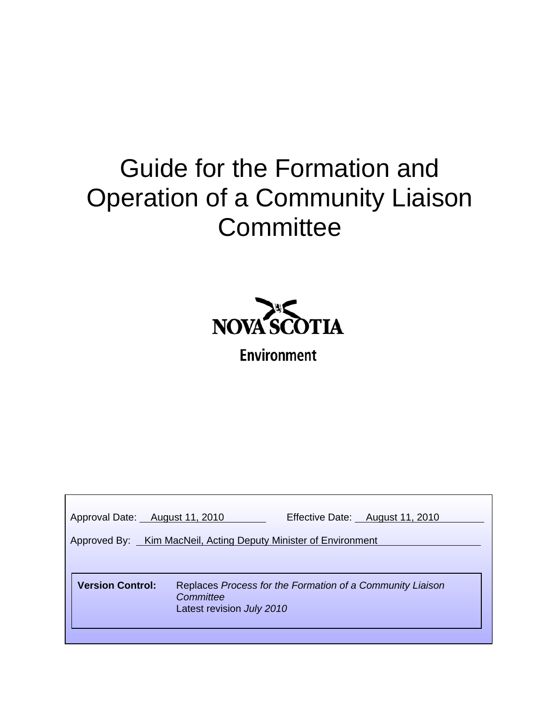# Guide for the Formation and Operation of a Community Liaison **Committee**



**Environment** 

| Approval Date: August 11, 2010                                                                                                 | Effective Date: August 11, 2010 |  |  |
|--------------------------------------------------------------------------------------------------------------------------------|---------------------------------|--|--|
| Approved By: Kim MacNeil, Acting Deputy Minister of Environment                                                                |                                 |  |  |
|                                                                                                                                |                                 |  |  |
| <b>Version Control:</b><br>Replaces Process for the Formation of a Community Liaison<br>Committee<br>Latest revision July 2010 |                                 |  |  |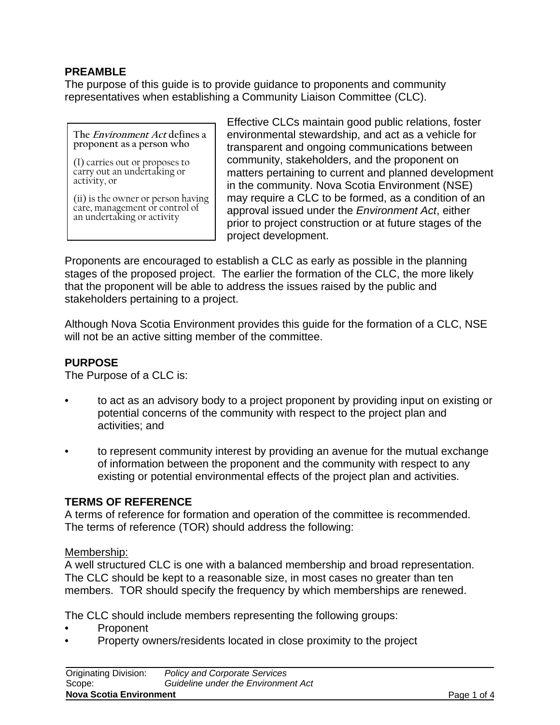## **PREAMBLE**

The purpose of this guide is to provide guidance to proponents and community representatives when establishing a Community Liaison Committee (CLC).

**The Environment Act defines a proponent as a person who**

(I) carries out or proposes to carry out an undertaking or activity, or

(ii) is the owner or person having care, management or control of an undertaking or activity

Effective CLCs maintain good public relations, foster environmental stewardship, and act as a vehicle for transparent and ongoing communications between community, stakeholders, and the proponent on matters pertaining to current and planned development in the community. Nova Scotia Environment (NSE) may require a CLC to be formed, as a condition of an approval issued under the *Environment Act*, either prior to project construction or at future stages of the project development.

Proponents are encouraged to establish a CLC as early as possible in the planning stages of the proposed project. The earlier the formation of the CLC, the more likely that the proponent will be able to address the issues raised by the public and stakeholders pertaining to a project.

Although Nova Scotia Environment provides this guide for the formation of a CLC, NSE will not be an active sitting member of the committee.

#### **PURPOSE**

The Purpose of a CLC is:

- to act as an advisory body to a project proponent by providing input on existing or potential concerns of the community with respect to the project plan and activities; and
- to represent community interest by providing an avenue for the mutual exchange of information between the proponent and the community with respect to any existing or potential environmental effects of the project plan and activities.

#### **TERMS OF REFERENCE**

A terms of reference for formation and operation of the committee is recommended. The terms of reference (TOR) should address the following:

#### Membership:

A well structured CLC is one with a balanced membership and broad representation. The CLC should be kept to a reasonable size, in most cases no greater than ten members. TOR should specify the frequency by which memberships are renewed.

The CLC should include members representing the following groups:

- Proponent
- Property owners/residents located in close proximity to the project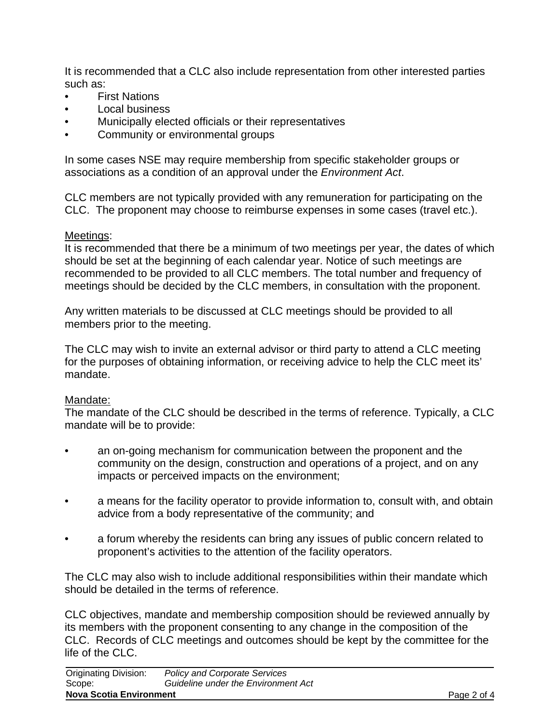It is recommended that a CLC also include representation from other interested parties such as:

- **First Nations**
- Local business
- Municipally elected officials or their representatives
- Community or environmental groups

In some cases NSE may require membership from specific stakeholder groups or associations as a condition of an approval under the *Environment Act*.

CLC members are not typically provided with any remuneration for participating on the CLC. The proponent may choose to reimburse expenses in some cases (travel etc.).

#### Meetings:

It is recommended that there be a minimum of two meetings per year, the dates of which should be set at the beginning of each calendar year. Notice of such meetings are recommended to be provided to all CLC members. The total number and frequency of meetings should be decided by the CLC members, in consultation with the proponent.

Any written materials to be discussed at CLC meetings should be provided to all members prior to the meeting.

The CLC may wish to invite an external advisor or third party to attend a CLC meeting for the purposes of obtaining information, or receiving advice to help the CLC meet its' mandate.

#### Mandate:

The mandate of the CLC should be described in the terms of reference. Typically, a CLC mandate will be to provide:

- an on-going mechanism for communication between the proponent and the community on the design, construction and operations of a project, and on any impacts or perceived impacts on the environment;
- a means for the facility operator to provide information to, consult with, and obtain advice from a body representative of the community; and
- a forum whereby the residents can bring any issues of public concern related to proponent's activities to the attention of the facility operators.

The CLC may also wish to include additional responsibilities within their mandate which should be detailed in the terms of reference.

CLC objectives, mandate and membership composition should be reviewed annually by its members with the proponent consenting to any change in the composition of the CLC. Records of CLC meetings and outcomes should be kept by the committee for the life of the CLC.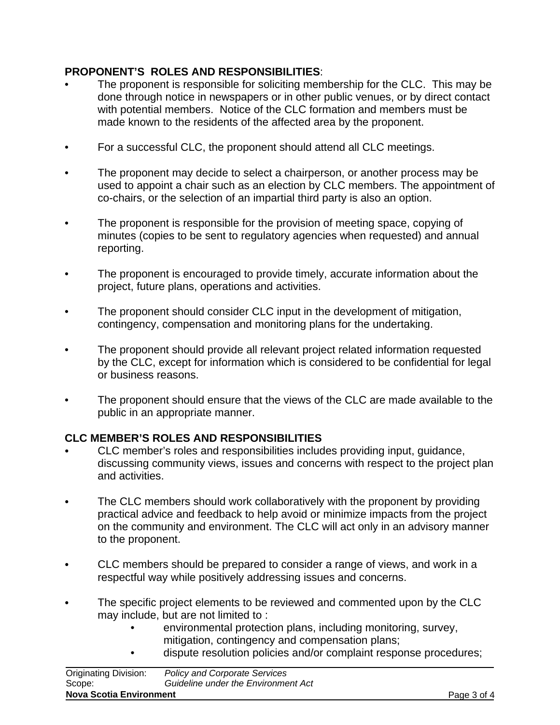## **PROPONENT'S ROLES AND RESPONSIBILITIES**:

- The proponent is responsible for soliciting membership for the CLC. This may be done through notice in newspapers or in other public venues, or by direct contact with potential members. Notice of the CLC formation and members must be made known to the residents of the affected area by the proponent.
- For a successful CLC, the proponent should attend all CLC meetings.
- The proponent may decide to select a chairperson, or another process may be used to appoint a chair such as an election by CLC members. The appointment of co-chairs, or the selection of an impartial third party is also an option.
- The proponent is responsible for the provision of meeting space, copying of minutes (copies to be sent to regulatory agencies when requested) and annual reporting.
- The proponent is encouraged to provide timely, accurate information about the project, future plans, operations and activities.
- The proponent should consider CLC input in the development of mitigation, contingency, compensation and monitoring plans for the undertaking.
- The proponent should provide all relevant project related information requested by the CLC, except for information which is considered to be confidential for legal or business reasons.
- The proponent should ensure that the views of the CLC are made available to the public in an appropriate manner.

## **CLC MEMBER'S ROLES AND RESPONSIBILITIES**

- CLC member's roles and responsibilities includes providing input, guidance, discussing community views, issues and concerns with respect to the project plan and activities.
- The CLC members should work collaboratively with the proponent by providing practical advice and feedback to help avoid or minimize impacts from the project on the community and environment. The CLC will act only in an advisory manner to the proponent.
- C CLC members should be prepared to consider a range of views, and work in a respectful way while positively addressing issues and concerns.
- The specific project elements to be reviewed and commented upon by the CLC may include, but are not limited to :
	- environmental protection plans, including monitoring, survey, mitigation, contingency and compensation plans;
	- dispute resolution policies and/or complaint response procedures;

| <b>Nova Scotia Environment</b> |                                      | Page 3 of 4 |
|--------------------------------|--------------------------------------|-------------|
| Scope:                         | Guideline under the Environment Act  |             |
| <b>Originating Division:</b>   | <b>Policy and Corporate Services</b> |             |